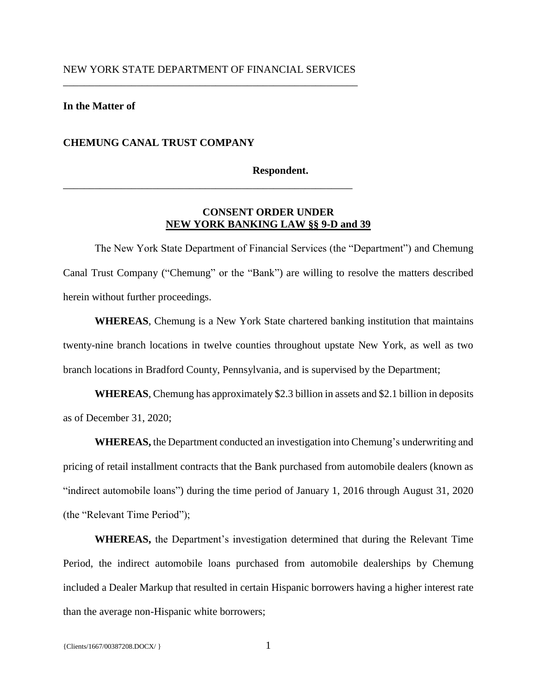# NEW YORK STATE DEPARTMENT OF FINANCIAL SERVICES \_\_\_\_\_\_\_\_\_\_\_\_\_\_\_\_\_\_\_\_\_\_\_\_\_\_\_\_\_\_\_\_\_\_\_\_\_\_\_\_\_\_\_\_\_\_\_\_\_\_\_\_\_\_\_\_

\_\_\_\_\_\_\_\_\_\_\_\_\_\_\_\_\_\_\_\_\_\_\_\_\_\_\_\_\_\_\_\_\_\_\_\_\_\_\_\_\_\_\_\_\_\_\_\_\_\_\_\_\_\_\_

# **In the Matter of**

## **CHEMUNG CANAL TRUST COMPANY**

#### **Respondent.**

# **CONSENT ORDER UNDER NEW YORK BANKING LAW §§ 9-D and 39**

The New York State Department of Financial Services (the "Department") and Chemung Canal Trust Company ("Chemung" or the "Bank") are willing to resolve the matters described herein without further proceedings.

**WHEREAS**, Chemung is a New York State chartered banking institution that maintains twenty-nine branch locations in twelve counties throughout upstate New York, as well as two branch locations in Bradford County, Pennsylvania, and is supervised by the Department;

**WHEREAS**, Chemung has approximately \$2.3 billion in assets and \$2.1 billion in deposits as of December 31, 2020;

**WHEREAS,** the Department conducted an investigation into Chemung's underwriting and pricing of retail installment contracts that the Bank purchased from automobile dealers (known as "indirect automobile loans") during the time period of January 1, 2016 through August 31, 2020 (the "Relevant Time Period");

**WHEREAS,** the Department's investigation determined that during the Relevant Time Period, the indirect automobile loans purchased from automobile dealerships by Chemung included a Dealer Markup that resulted in certain Hispanic borrowers having a higher interest rate than the average non-Hispanic white borrowers;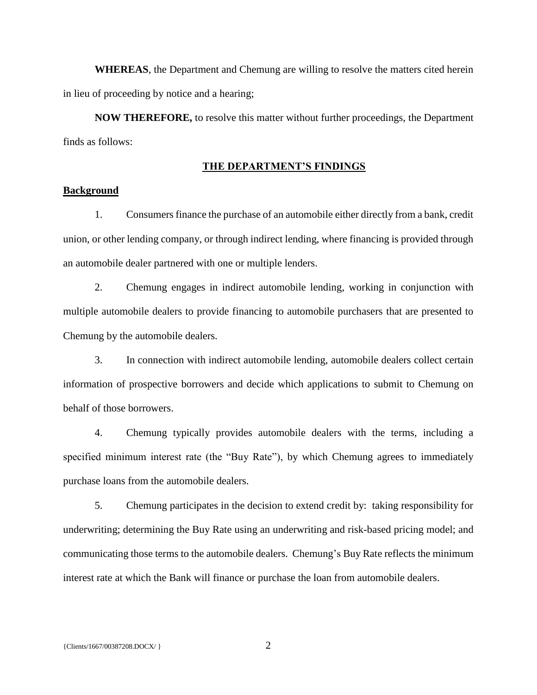**WHEREAS**, the Department and Chemung are willing to resolve the matters cited herein in lieu of proceeding by notice and a hearing;

**NOW THEREFORE,** to resolve this matter without further proceedings, the Department finds as follows:

### **THE DEPARTMENT'S FINDINGS**

# **Background**

1. Consumers finance the purchase of an automobile either directly from a bank, credit union, or other lending company, or through indirect lending, where financing is provided through an automobile dealer partnered with one or multiple lenders.

2. Chemung engages in indirect automobile lending, working in conjunction with multiple automobile dealers to provide financing to automobile purchasers that are presented to Chemung by the automobile dealers.

3. In connection with indirect automobile lending, automobile dealers collect certain information of prospective borrowers and decide which applications to submit to Chemung on behalf of those borrowers.

4. Chemung typically provides automobile dealers with the terms, including a specified minimum interest rate (the "Buy Rate"), by which Chemung agrees to immediately purchase loans from the automobile dealers.

5. Chemung participates in the decision to extend credit by: taking responsibility for underwriting; determining the Buy Rate using an underwriting and risk-based pricing model; and communicating those terms to the automobile dealers. Chemung's Buy Rate reflects the minimum interest rate at which the Bank will finance or purchase the loan from automobile dealers.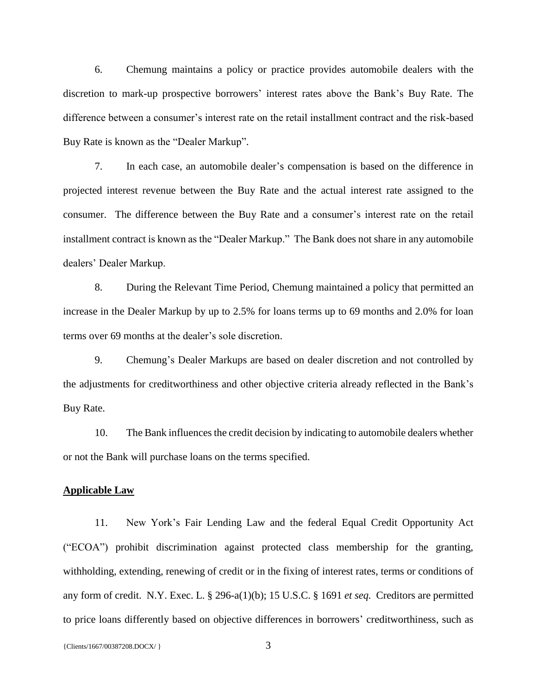6. Chemung maintains a policy or practice provides automobile dealers with the discretion to mark-up prospective borrowers' interest rates above the Bank's Buy Rate. The difference between a consumer's interest rate on the retail installment contract and the risk-based Buy Rate is known as the "Dealer Markup".

7. In each case, an automobile dealer's compensation is based on the difference in projected interest revenue between the Buy Rate and the actual interest rate assigned to the consumer. The difference between the Buy Rate and a consumer's interest rate on the retail installment contract is known as the "Dealer Markup." The Bank does not share in any automobile dealers' Dealer Markup.

8. During the Relevant Time Period, Chemung maintained a policy that permitted an increase in the Dealer Markup by up to 2.5% for loans terms up to 69 months and 2.0% for loan terms over 69 months at the dealer's sole discretion.

9. Chemung's Dealer Markups are based on dealer discretion and not controlled by the adjustments for creditworthiness and other objective criteria already reflected in the Bank's Buy Rate.

10. The Bank influences the credit decision by indicating to automobile dealers whether or not the Bank will purchase loans on the terms specified.

### **Applicable Law**

11. New York's Fair Lending Law and the federal Equal Credit Opportunity Act ("ECOA") prohibit discrimination against protected class membership for the granting, withholding, extending, renewing of credit or in the fixing of interest rates, terms or conditions of any form of credit. N.Y. Exec. L. § 296-a(1)(b); 15 U.S.C. § 1691 *et seq.* Creditors are permitted to price loans differently based on objective differences in borrowers' creditworthiness, such as

{ $Clients/1667/00387208.DOCX/$ } 3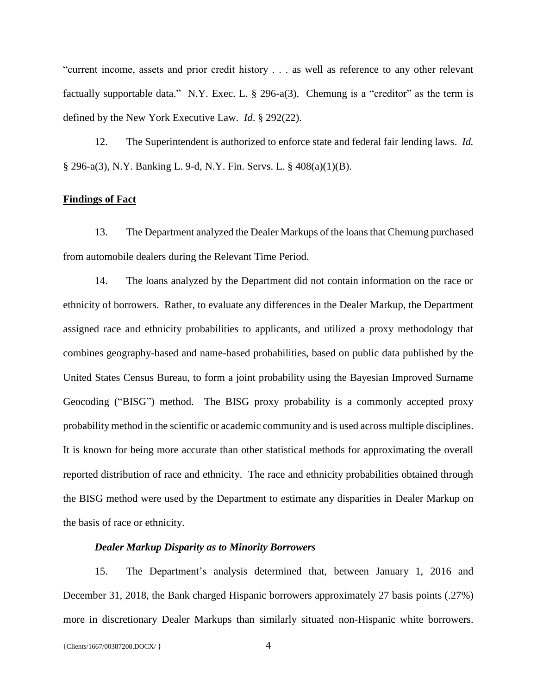"current income, assets and prior credit history . . . as well as reference to any other relevant factually supportable data." N.Y. Exec. L. § 296-a(3). Chemung is a "creditor" as the term is defined by the New York Executive Law. *Id*. § 292(22).

12. The Superintendent is authorized to enforce state and federal fair lending laws. *Id.*  § 296-a(3), N.Y. Banking L. 9-d, N.Y. Fin. Servs. L. § 408(a)(1)(B).

# **Findings of Fact**

13. The Department analyzed the Dealer Markups of the loansthat Chemung purchased from automobile dealers during the Relevant Time Period.

14. The loans analyzed by the Department did not contain information on the race or ethnicity of borrowers. Rather, to evaluate any differences in the Dealer Markup, the Department assigned race and ethnicity probabilities to applicants, and utilized a proxy methodology that combines geography-based and name-based probabilities, based on public data published by the United States Census Bureau, to form a joint probability using the Bayesian Improved Surname Geocoding ("BISG") method. The BISG proxy probability is a commonly accepted proxy probability method in the scientific or academic community and is used across multiple disciplines. It is known for being more accurate than other statistical methods for approximating the overall reported distribution of race and ethnicity. The race and ethnicity probabilities obtained through the BISG method were used by the Department to estimate any disparities in Dealer Markup on the basis of race or ethnicity.

## *Dealer Markup Disparity as to Minority Borrowers*

15. The Department's analysis determined that, between January 1, 2016 and December 31, 2018, the Bank charged Hispanic borrowers approximately 27 basis points (.27%) more in discretionary Dealer Markups than similarly situated non-Hispanic white borrowers.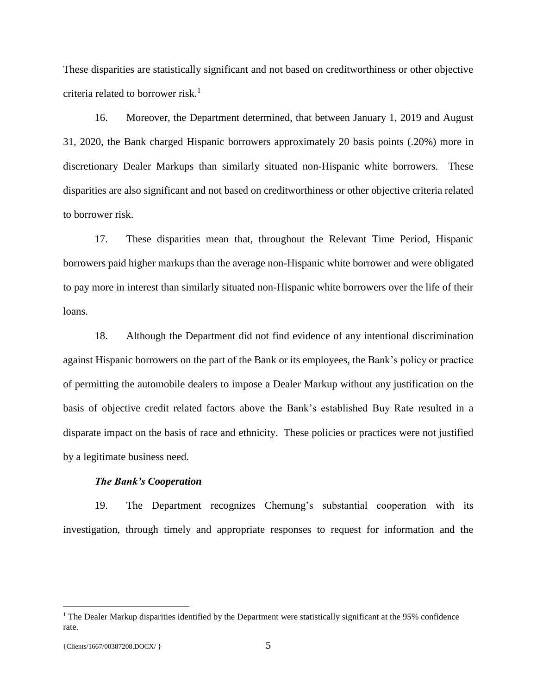These disparities are statistically significant and not based on creditworthiness or other objective criteria related to borrower risk.<sup>1</sup>

16. Moreover, the Department determined, that between January 1, 2019 and August 31, 2020, the Bank charged Hispanic borrowers approximately 20 basis points (.20%) more in discretionary Dealer Markups than similarly situated non-Hispanic white borrowers. These disparities are also significant and not based on creditworthiness or other objective criteria related to borrower risk.

17. These disparities mean that, throughout the Relevant Time Period, Hispanic borrowers paid higher markups than the average non-Hispanic white borrower and were obligated to pay more in interest than similarly situated non-Hispanic white borrowers over the life of their loans.

18. Although the Department did not find evidence of any intentional discrimination against Hispanic borrowers on the part of the Bank or its employees, the Bank's policy or practice of permitting the automobile dealers to impose a Dealer Markup without any justification on the basis of objective credit related factors above the Bank's established Buy Rate resulted in a disparate impact on the basis of race and ethnicity. These policies or practices were not justified by a legitimate business need.

## *The Bank's Cooperation*

19. The Department recognizes Chemung's substantial cooperation with its investigation, through timely and appropriate responses to request for information and the

 $\overline{a}$ 

<sup>&</sup>lt;sup>1</sup> The Dealer Markup disparities identified by the Department were statistically significant at the 95% confidence rate.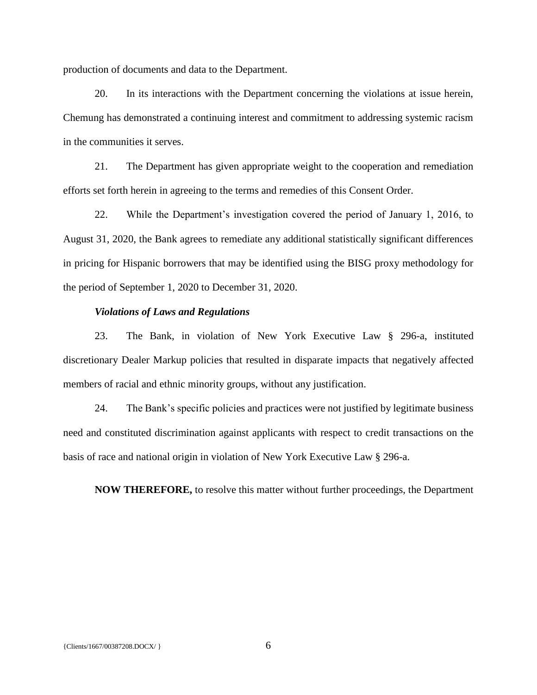production of documents and data to the Department.

20. In its interactions with the Department concerning the violations at issue herein, Chemung has demonstrated a continuing interest and commitment to addressing systemic racism in the communities it serves.

21. The Department has given appropriate weight to the cooperation and remediation efforts set forth herein in agreeing to the terms and remedies of this Consent Order.

22. While the Department's investigation covered the period of January 1, 2016, to August 31, 2020, the Bank agrees to remediate any additional statistically significant differences in pricing for Hispanic borrowers that may be identified using the BISG proxy methodology for the period of September 1, 2020 to December 31, 2020.

### *Violations of Laws and Regulations*

23. The Bank, in violation of New York Executive Law § 296-a, instituted discretionary Dealer Markup policies that resulted in disparate impacts that negatively affected members of racial and ethnic minority groups, without any justification.

24. The Bank's specific policies and practices were not justified by legitimate business need and constituted discrimination against applicants with respect to credit transactions on the basis of race and national origin in violation of New York Executive Law § 296-a.

**NOW THEREFORE,** to resolve this matter without further proceedings, the Department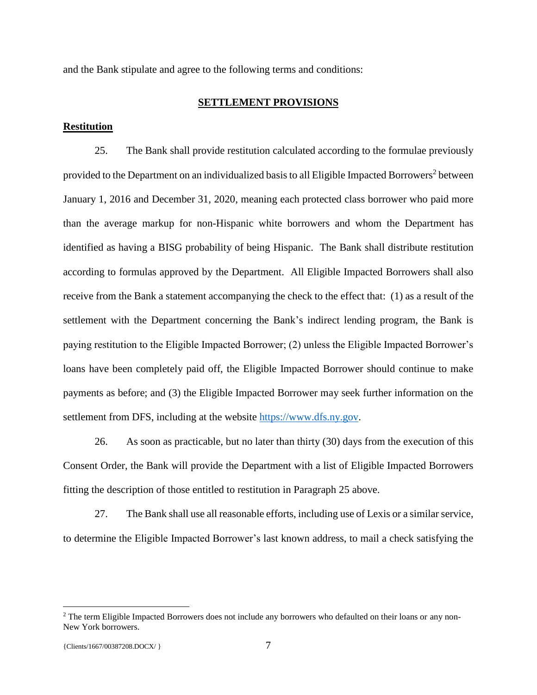and the Bank stipulate and agree to the following terms and conditions:

### **SETTLEMENT PROVISIONS**

### **Restitution**

25. The Bank shall provide restitution calculated according to the formulae previously provided to the Department on an individualized basis to all Eligible Impacted Borrowers<sup>2</sup> between January 1, 2016 and December 31, 2020, meaning each protected class borrower who paid more than the average markup for non-Hispanic white borrowers and whom the Department has identified as having a BISG probability of being Hispanic. The Bank shall distribute restitution according to formulas approved by the Department. All Eligible Impacted Borrowers shall also receive from the Bank a statement accompanying the check to the effect that: (1) as a result of the settlement with the Department concerning the Bank's indirect lending program, the Bank is paying restitution to the Eligible Impacted Borrower; (2) unless the Eligible Impacted Borrower's loans have been completely paid off, the Eligible Impacted Borrower should continue to make payments as before; and (3) the Eligible Impacted Borrower may seek further information on the settlement from DFS, including at the website [https://www.dfs.ny.gov.](https://www.dfs.ny.gov/)

26. As soon as practicable, but no later than thirty (30) days from the execution of this Consent Order, the Bank will provide the Department with a list of Eligible Impacted Borrowers fitting the description of those entitled to restitution in Paragraph 25 above.

27. The Bank shall use all reasonable efforts, including use of Lexis or a similar service, to determine the Eligible Impacted Borrower's last known address, to mail a check satisfying the

 $\overline{a}$ 

<sup>&</sup>lt;sup>2</sup> The term Eligible Impacted Borrowers does not include any borrowers who defaulted on their loans or any non-New York borrowers.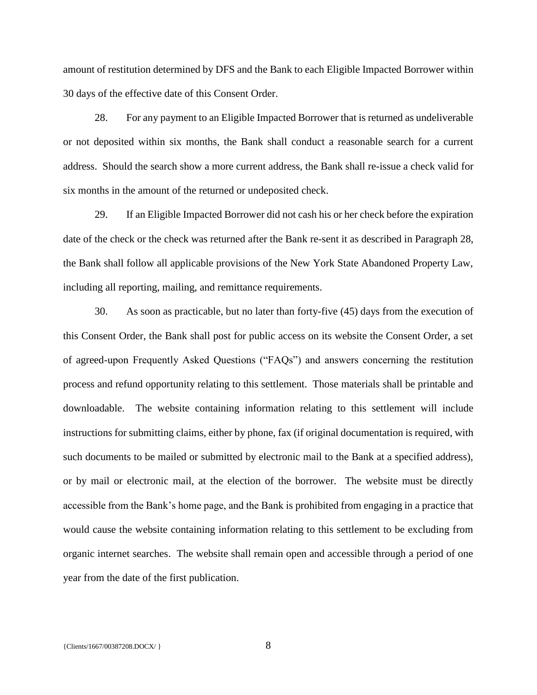amount of restitution determined by DFS and the Bank to each Eligible Impacted Borrower within 30 days of the effective date of this Consent Order.

28. For any payment to an Eligible Impacted Borrower that is returned as undeliverable or not deposited within six months, the Bank shall conduct a reasonable search for a current address. Should the search show a more current address, the Bank shall re-issue a check valid for six months in the amount of the returned or undeposited check.

29. If an Eligible Impacted Borrower did not cash his or her check before the expiration date of the check or the check was returned after the Bank re-sent it as described in Paragraph 28, the Bank shall follow all applicable provisions of the New York State Abandoned Property Law, including all reporting, mailing, and remittance requirements.

30. As soon as practicable, but no later than forty-five (45) days from the execution of this Consent Order, the Bank shall post for public access on its website the Consent Order, a set of agreed-upon Frequently Asked Questions ("FAQs") and answers concerning the restitution process and refund opportunity relating to this settlement. Those materials shall be printable and downloadable. The website containing information relating to this settlement will include instructions for submitting claims, either by phone, fax (if original documentation is required, with such documents to be mailed or submitted by electronic mail to the Bank at a specified address), or by mail or electronic mail, at the election of the borrower. The website must be directly accessible from the Bank's home page, and the Bank is prohibited from engaging in a practice that would cause the website containing information relating to this settlement to be excluding from organic internet searches. The website shall remain open and accessible through a period of one year from the date of the first publication.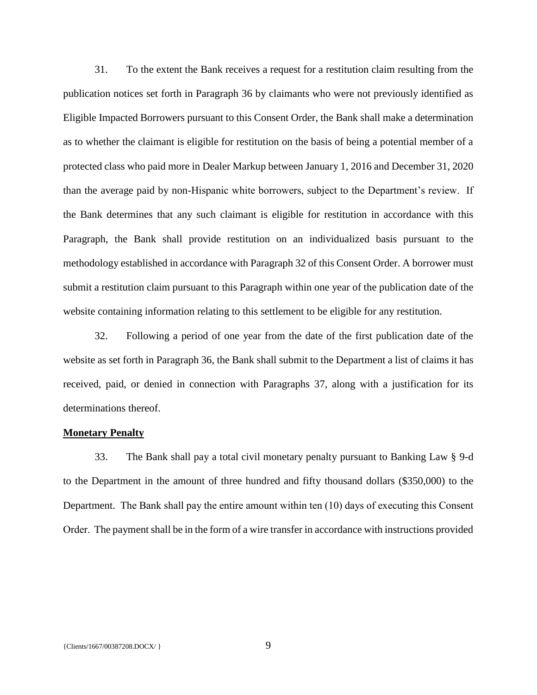31. To the extent the Bank receives a request for a restitution claim resulting from the publication notices set forth in Paragraph 36 by claimants who were not previously identified as Eligible Impacted Borrowers pursuant to this Consent Order, the Bank shall make a determination as to whether the claimant is eligible for restitution on the basis of being a potential member of a protected class who paid more in Dealer Markup between January 1, 2016 and December 31, 2020 than the average paid by non-Hispanic white borrowers, subject to the Department's review. If the Bank determines that any such claimant is eligible for restitution in accordance with this Paragraph, the Bank shall provide restitution on an individualized basis pursuant to the methodology established in accordance with Paragraph 32 of this Consent Order. A borrower must submit a restitution claim pursuant to this Paragraph within one year of the publication date of the website containing information relating to this settlement to be eligible for any restitution.

32. Following a period of one year from the date of the first publication date of the website as set forth in Paragraph 36, the Bank shall submit to the Department a list of claims it has received, paid, or denied in connection with Paragraphs 37, along with a justification for its determinations thereof.

#### **Monetary Penalty**

33. The Bank shall pay a total civil monetary penalty pursuant to Banking Law § 9-d to the Department in the amount of three hundred and fifty thousand dollars (\$350,000) to the Department. The Bank shall pay the entire amount within ten (10) days of executing this Consent Order. The payment shall be in the form of a wire transfer in accordance with instructions provided

 ${C}$ lients/1667/00387208.DOCX/ } 9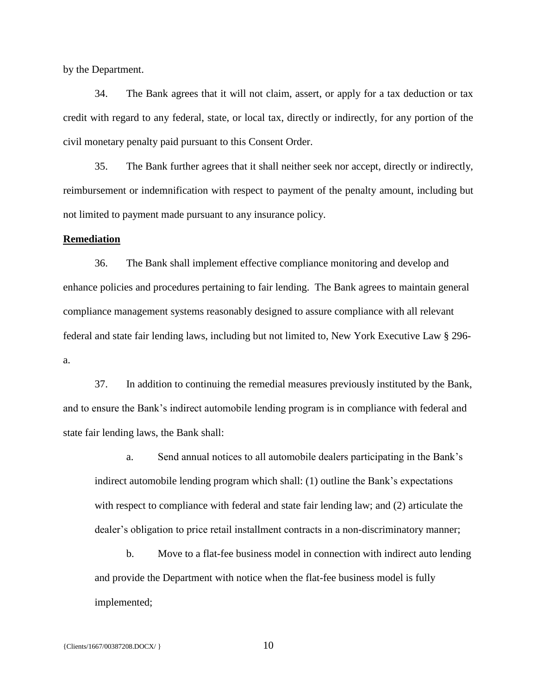by the Department.

34. The Bank agrees that it will not claim, assert, or apply for a tax deduction or tax credit with regard to any federal, state, or local tax, directly or indirectly, for any portion of the civil monetary penalty paid pursuant to this Consent Order.

35. The Bank further agrees that it shall neither seek nor accept, directly or indirectly, reimbursement or indemnification with respect to payment of the penalty amount, including but not limited to payment made pursuant to any insurance policy.

### **Remediation**

36. The Bank shall implement effective compliance monitoring and develop and enhance policies and procedures pertaining to fair lending. The Bank agrees to maintain general compliance management systems reasonably designed to assure compliance with all relevant federal and state fair lending laws, including but not limited to, New York Executive Law § 296 a.

37. In addition to continuing the remedial measures previously instituted by the Bank, and to ensure the Bank's indirect automobile lending program is in compliance with federal and state fair lending laws, the Bank shall:

a. Send annual notices to all automobile dealers participating in the Bank's indirect automobile lending program which shall: (1) outline the Bank's expectations with respect to compliance with federal and state fair lending law; and (2) articulate the dealer's obligation to price retail installment contracts in a non-discriminatory manner;

b. Move to a flat-fee business model in connection with indirect auto lending and provide the Department with notice when the flat-fee business model is fully implemented;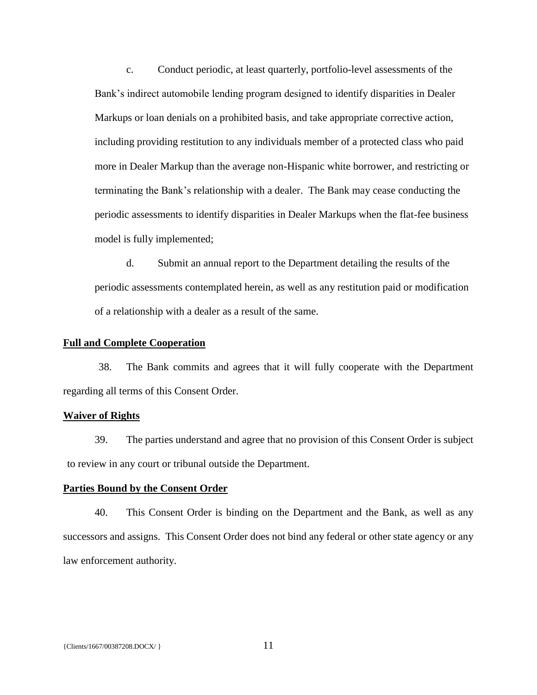c. Conduct periodic, at least quarterly, portfolio-level assessments of the Bank's indirect automobile lending program designed to identify disparities in Dealer Markups or loan denials on a prohibited basis, and take appropriate corrective action, including providing restitution to any individuals member of a protected class who paid more in Dealer Markup than the average non-Hispanic white borrower, and restricting or terminating the Bank's relationship with a dealer. The Bank may cease conducting the periodic assessments to identify disparities in Dealer Markups when the flat-fee business model is fully implemented;

d. Submit an annual report to the Department detailing the results of the periodic assessments contemplated herein, as well as any restitution paid or modification of a relationship with a dealer as a result of the same.

### **Full and Complete Cooperation**

38. The Bank commits and agrees that it will fully cooperate with the Department regarding all terms of this Consent Order.

## **Waiver of Rights**

39. The parties understand and agree that no provision of this Consent Order is subject to review in any court or tribunal outside the Department.

# **Parties Bound by the Consent Order**

40. This Consent Order is binding on the Department and the Bank, as well as any successors and assigns. This Consent Order does not bind any federal or other state agency or any law enforcement authority.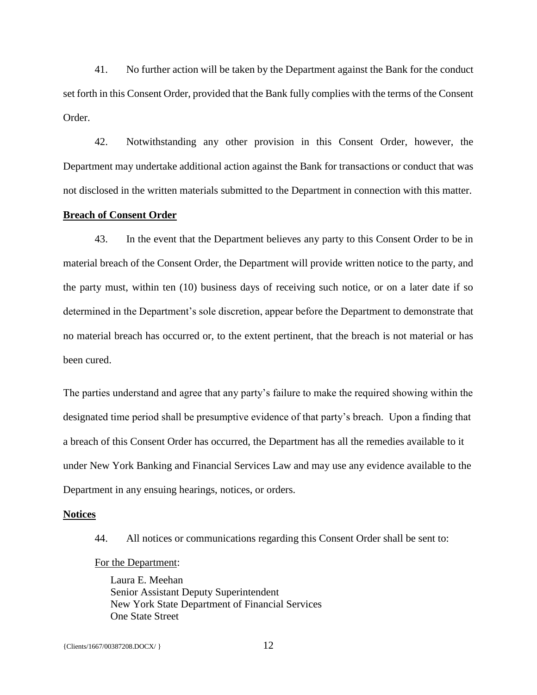41. No further action will be taken by the Department against the Bank for the conduct set forth in this Consent Order, provided that the Bank fully complies with the terms of the Consent Order.

42. Notwithstanding any other provision in this Consent Order, however, the Department may undertake additional action against the Bank for transactions or conduct that was not disclosed in the written materials submitted to the Department in connection with this matter.

### **Breach of Consent Order**

43. In the event that the Department believes any party to this Consent Order to be in material breach of the Consent Order, the Department will provide written notice to the party, and the party must, within ten (10) business days of receiving such notice, or on a later date if so determined in the Department's sole discretion, appear before the Department to demonstrate that no material breach has occurred or, to the extent pertinent, that the breach is not material or has been cured.

The parties understand and agree that any party's failure to make the required showing within the designated time period shall be presumptive evidence of that party's breach. Upon a finding that a breach of this Consent Order has occurred, the Department has all the remedies available to it under New York Banking and Financial Services Law and may use any evidence available to the Department in any ensuing hearings, notices, or orders.

#### **Notices**

44. All notices or communications regarding this Consent Order shall be sent to:

### For the Department:

Laura E. Meehan Senior Assistant Deputy Superintendent New York State Department of Financial Services One State Street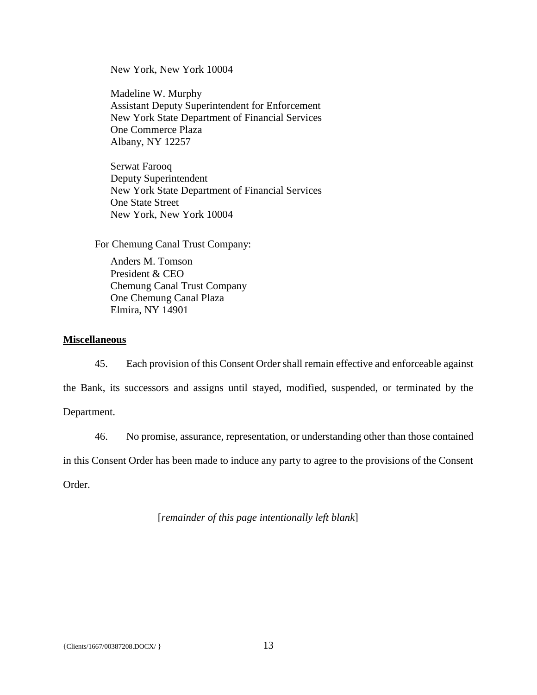New York, New York 10004

Madeline W. Murphy Assistant Deputy Superintendent for Enforcement New York State Department of Financial Services One Commerce Plaza Albany, NY 12257

Serwat Farooq Deputy Superintendent New York State Department of Financial Services One State Street New York, New York 10004

For Chemung Canal Trust Company:

Anders M. Tomson President & CEO Chemung Canal Trust Company One Chemung Canal Plaza Elmira, NY 14901

# **Miscellaneous**

45. Each provision of this Consent Order shall remain effective and enforceable against the Bank, its successors and assigns until stayed, modified, suspended, or terminated by the Department.

46. No promise, assurance, representation, or understanding other than those contained

in this Consent Order has been made to induce any party to agree to the provisions of the Consent

Order.

[*remainder of this page intentionally left blank*]